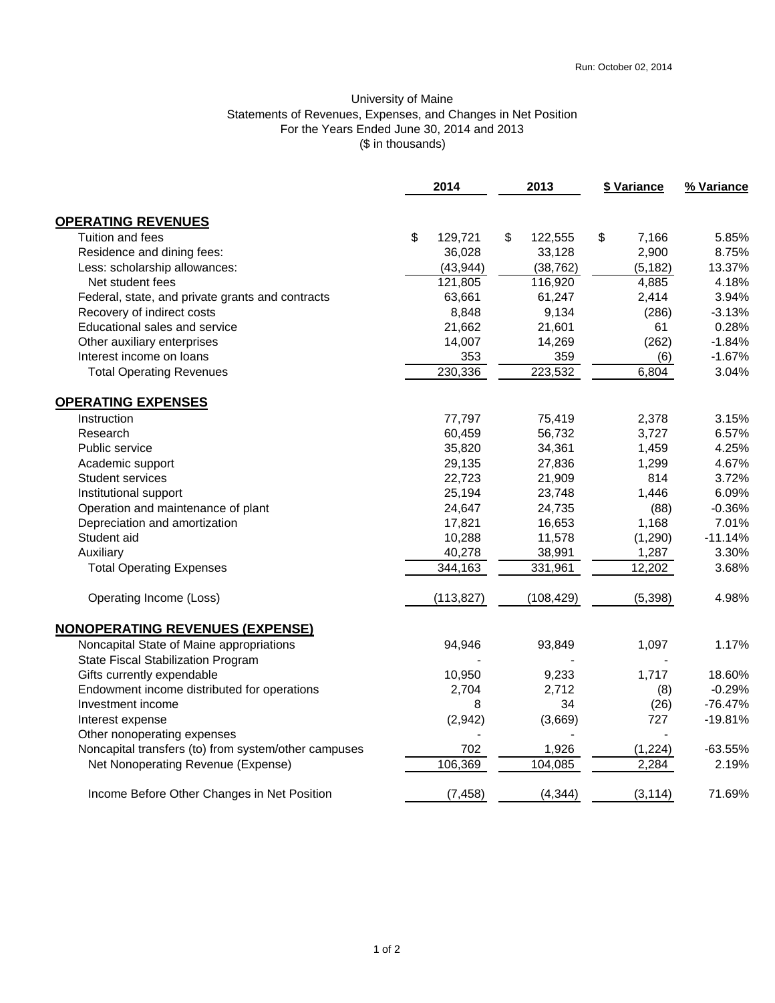## University of Maine Statements of Revenues, Expenses, and Changes in Net Position For the Years Ended June 30, 2014 and 2013 (\$ in thousands)

| 2014                                                 |    |            | 2013 |            | \$ Variance |          | % Variance |
|------------------------------------------------------|----|------------|------|------------|-------------|----------|------------|
| <b>OPERATING REVENUES</b>                            |    |            |      |            |             |          |            |
| Tuition and fees                                     | \$ | 129,721    | \$   | 122,555    | \$          | 7,166    | 5.85%      |
| Residence and dining fees:                           |    | 36,028     |      | 33,128     |             | 2,900    | 8.75%      |
| Less: scholarship allowances:                        |    | (43, 944)  |      | (38, 762)  |             | (5, 182) | 13.37%     |
| Net student fees                                     |    | 121,805    |      | 116,920    |             | 4,885    | 4.18%      |
| Federal, state, and private grants and contracts     |    | 63,661     |      | 61,247     |             | 2,414    | 3.94%      |
| Recovery of indirect costs                           |    | 8,848      |      | 9,134      |             | (286)    | $-3.13%$   |
| Educational sales and service                        |    | 21,662     |      | 21,601     |             | 61       | 0.28%      |
| Other auxiliary enterprises                          |    | 14,007     |      | 14,269     |             | (262)    | $-1.84%$   |
| Interest income on loans                             |    | 353        |      | 359        |             | (6)      | $-1.67%$   |
| <b>Total Operating Revenues</b>                      |    | 230,336    |      | 223,532    |             | 6,804    | 3.04%      |
| <b>OPERATING EXPENSES</b>                            |    |            |      |            |             |          |            |
| Instruction                                          |    | 77,797     |      | 75,419     |             | 2,378    | 3.15%      |
| Research                                             |    | 60,459     |      | 56,732     |             | 3,727    | 6.57%      |
| Public service                                       |    | 35,820     |      | 34,361     |             | 1,459    | 4.25%      |
| Academic support                                     |    | 29,135     |      | 27,836     |             | 1,299    | 4.67%      |
| Student services                                     |    | 22,723     |      | 21,909     |             | 814      | 3.72%      |
| Institutional support                                |    | 25,194     |      | 23,748     |             | 1,446    | 6.09%      |
| Operation and maintenance of plant                   |    | 24,647     |      | 24,735     |             | (88)     | $-0.36%$   |
| Depreciation and amortization                        |    | 17,821     |      | 16,653     |             | 1,168    | 7.01%      |
| Student aid                                          |    | 10,288     |      | 11,578     |             | (1,290)  | $-11.14%$  |
| Auxiliary                                            |    | 40,278     |      | 38,991     |             | 1,287    | 3.30%      |
| <b>Total Operating Expenses</b>                      |    | 344,163    |      | 331,961    |             | 12,202   | 3.68%      |
| Operating Income (Loss)                              |    | (113, 827) |      | (108, 429) |             | (5, 398) | 4.98%      |
| <b>NONOPERATING REVENUES (EXPENSE)</b>               |    |            |      |            |             |          |            |
| Noncapital State of Maine appropriations             |    | 94,946     |      | 93,849     |             | 1,097    | 1.17%      |
| State Fiscal Stabilization Program                   |    |            |      |            |             |          |            |
| Gifts currently expendable                           |    | 10,950     |      | 9,233      |             | 1,717    | 18.60%     |
| Endowment income distributed for operations          |    | 2,704      |      | 2,712      |             | (8)      | $-0.29%$   |
| Investment income                                    |    | 8          |      | 34         |             | (26)     | $-76.47%$  |
| Interest expense                                     |    | (2,942)    |      | (3,669)    |             | 727      | $-19.81%$  |
| Other nonoperating expenses                          |    |            |      |            |             |          |            |
| Noncapital transfers (to) from system/other campuses |    | 702        |      | 1,926      |             | (1, 224) | $-63.55%$  |
| Net Nonoperating Revenue (Expense)                   |    | 106,369    |      | 104,085    |             | 2,284    | 2.19%      |
| Income Before Other Changes in Net Position          |    | (7, 458)   |      | (4, 344)   |             | (3, 114) | 71.69%     |